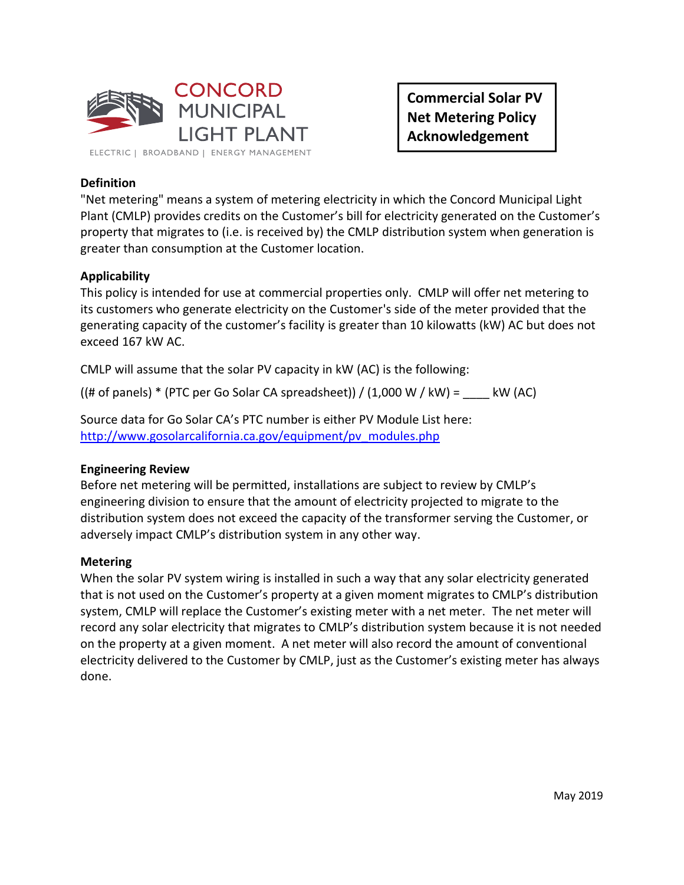

**Commercial Solar PV Net Metering Policy Acknowledgement**

# **Definition**

"Net metering" means a system of metering electricity in which the Concord Municipal Light Plant (CMLP) provides credits on the Customer's bill for electricity generated on the Customer's property that migrates to (i.e. is received by) the CMLP distribution system when generation is greater than consumption at the Customer location.

## **Applicability**

This policy is intended for use at commercial properties only. CMLP will offer net metering to its customers who generate electricity on the Customer's side of the meter provided that the generating capacity of the customer's facility is greater than 10 kilowatts (kW) AC but does not exceed 167 kW AC.

CMLP will assume that the solar PV capacity in kW (AC) is the following:

 $((# of panels) * (PTC per Go Solar CA spreadsheet)) / (1,000 W / kW) =$  kW (AC)

Source data for Go Solar CA's PTC number is either PV Module List here: [http://www.gosolarcalifornia.ca.gov/equipment/pv\\_modules.php](http://www.gosolarcalifornia.ca.gov/equipment/pv_modules.php)

## **Engineering Review**

Before net metering will be permitted, installations are subject to review by CMLP's engineering division to ensure that the amount of electricity projected to migrate to the distribution system does not exceed the capacity of the transformer serving the Customer, or adversely impact CMLP's distribution system in any other way.

#### **Metering**

When the solar PV system wiring is installed in such a way that any solar electricity generated that is not used on the Customer's property at a given moment migrates to CMLP's distribution system, CMLP will replace the Customer's existing meter with a net meter. The net meter will record any solar electricity that migrates to CMLP's distribution system because it is not needed on the property at a given moment. A net meter will also record the amount of conventional electricity delivered to the Customer by CMLP, just as the Customer's existing meter has always done.